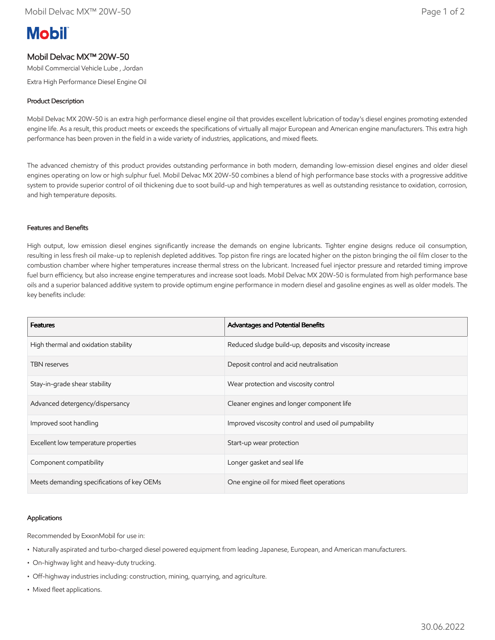# **Mobil**

# Mobil Delvac MX™ 20W-50

Mobil Commercial Vehicle Lube , Jordan

Extra High Performance Diesel Engine Oil

### Product Description

Mobil Delvac MX 20W-50 is an extra high performance diesel engine oil that provides excellent lubrication of today's diesel engines promoting extended engine life. As a result, this product meets or exceeds the specifications of virtually all major European and American engine manufacturers. This extra high performance has been proven in the field in a wide variety of industries, applications, and mixed fleets.

The advanced chemistry of this product provides outstanding performance in both modern, demanding low-emission diesel engines and older diesel engines operating on low or high sulphur fuel. Mobil Delvac MX 20W-50 combines a blend of high performance base stocks with a progressive additive system to provide superior control of oil thickening due to soot build-up and high temperatures as well as outstanding resistance to oxidation, corrosion, and high temperature deposits.

### Features and Benefits

High output, low emission diesel engines significantly increase the demands on engine lubricants. Tighter engine designs reduce oil consumption, resulting in less fresh oil make-up to replenish depleted additives. Top piston fire rings are located higher on the piston bringing the oil film closer to the combustion chamber where higher temperatures increase thermal stress on the lubricant. Increased fuel injector pressure and retarded timing improve fuel burn efficiency, but also increase engine temperatures and increase soot loads. Mobil Delvac MX 20W-50 is formulated from high performance base oils and a superior balanced additive system to provide optimum engine performance in modern diesel and gasoline engines as well as older models. The key benefits include:

| <b>Features</b>                            | Advantages and Potential Benefits                        |
|--------------------------------------------|----------------------------------------------------------|
| High thermal and oxidation stability       | Reduced sludge build-up, deposits and viscosity increase |
| <b>TBN</b> reserves                        | Deposit control and acid neutralisation                  |
| Stay-in-grade shear stability              | Wear protection and viscosity control                    |
| Advanced detergency/dispersancy            | Cleaner engines and longer component life                |
| Improved soot handling                     | Improved viscosity control and used oil pumpability      |
| Excellent low temperature properties       | Start-up wear protection                                 |
| Component compatibility                    | Longer gasket and seal life                              |
| Meets demanding specifications of key OEMs | One engine oil for mixed fleet operations                |

### Applications

Recommended by ExxonMobil for use in:

- Naturally aspirated and turbo-charged diesel powered equipment from leading Japanese, European, and American manufacturers.
- On-highway light and heavy-duty trucking.
- Off-highway industries including: construction, mining, quarrying, and agriculture.
- Mixed fleet applications.